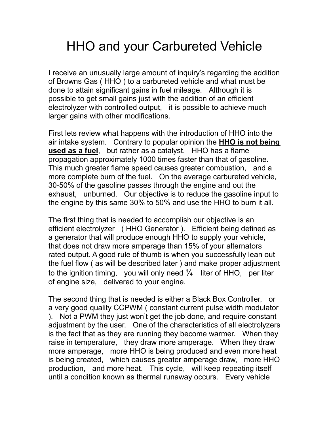## HHO and your Carbureted Vehicle

I receive an unusually large amount of inquiry's regarding the addition of Browns Gas ( HHO ) to a carbureted vehicle and what must be done to attain significant gains in fuel mileage. Although it is possible to get small gains just with the addition of an efficient electrolyzer with controlled output, it is possible to achieve much larger gains with other modifications.

First lets review what happens with the introduction of HHO into the air intake system. Contrary to popular opinion the **HHO is not being used as a fuel**, but rather as a catalyst. HHO has a flame propagation approximately 1000 times faster than that of gasoline. This much greater flame speed causes greater combustion, and a more complete burn of the fuel. On the average carbureted vehicle, 30-50% of the gasoline passes through the engine and out the exhaust, unburned. Our objective is to reduce the gasoline input to the engine by this same 30% to 50% and use the HHO to burn it all.

The first thing that is needed to accomplish our objective is an efficient electrolyzer ( HHO Generator ). Efficient being defined as a generator that will produce enough HHO to supply your vehicle, that does not draw more amperage than 15% of your alternators rated output. A good rule of thumb is when you successfully lean out the fuel flow ( as will be described later ) and make proper adjustment to the ignition timing, you will only need **¼** liter of HHO, per liter of engine size, delivered to your engine.

The second thing that is needed is either a Black Box Controller, or a very good quality CCPWM ( constant current pulse width modulator ). Not a PWM they just won't get the job done, and require constant adjustment by the user. One of the characteristics of all electrolyzers is the fact that as they are running they become warmer. When they raise in temperature, they draw more amperage. When they draw more amperage, more HHO is being produced and even more heat is being created, which causes greater amperage draw, more HHO production, and more heat. This cycle, will keep repeating itself until a condition known as thermal runaway occurs. Every vehicle